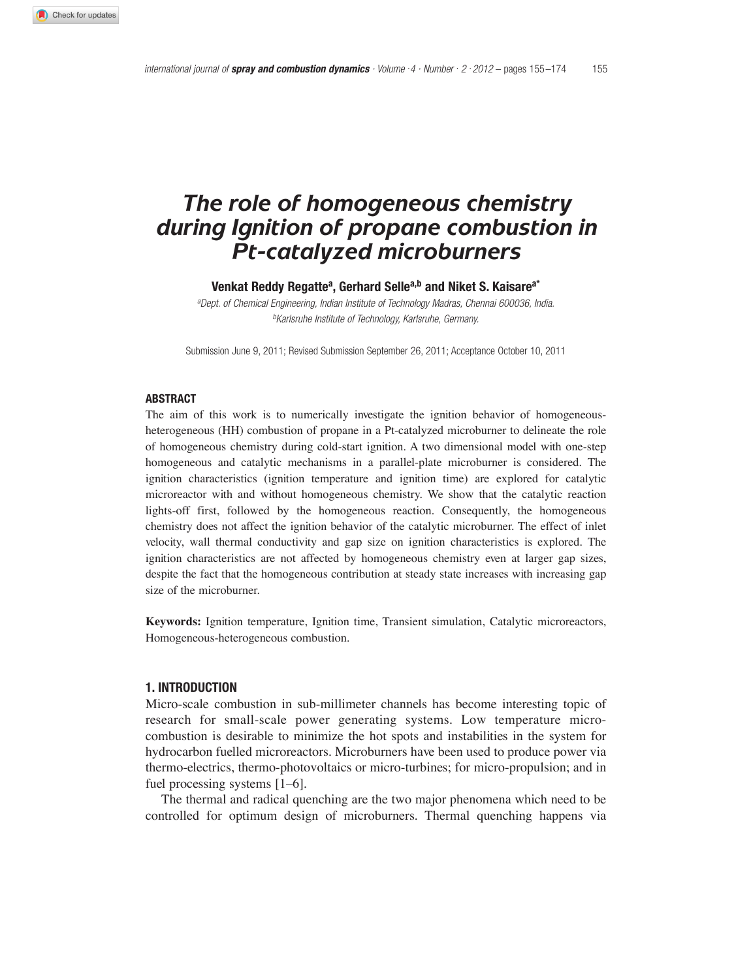# *The role of homogeneous chemistry during Ignition of propane combustion in Pt-catalyzed microburners*

**Venkat Reddy Regattea, Gerhard Sellea,b and Niket S. Kaisarea\***

*a Dept. of Chemical Engineering, Indian Institute of Technology Madras, Chennai 600036, India. b Karlsruhe Institute of Technology, Karlsruhe, Germany.*

Submission June 9, 2011; Revised Submission September 26, 2011; Acceptance October 10, 2011

#### **ABSTRACT**

The aim of this work is to numerically investigate the ignition behavior of homogeneousheterogeneous (HH) combustion of propane in a Pt-catalyzed microburner to delineate the role of homogeneous chemistry during cold-start ignition. A two dimensional model with one-step homogeneous and catalytic mechanisms in a parallel-plate microburner is considered. The ignition characteristics (ignition temperature and ignition time) are explored for catalytic microreactor with and without homogeneous chemistry. We show that the catalytic reaction lights-off first, followed by the homogeneous reaction. Consequently, the homogeneous chemistry does not affect the ignition behavior of the catalytic microburner. The effect of inlet velocity, wall thermal conductivity and gap size on ignition characteristics is explored. The ignition characteristics are not affected by homogeneous chemistry even at larger gap sizes, despite the fact that the homogeneous contribution at steady state increases with increasing gap size of the microburner.

**Keywords:** Ignition temperature, Ignition time, Transient simulation, Catalytic microreactors, Homogeneous-heterogeneous combustion.

#### **1. INTRODUCTION**

Micro-scale combustion in sub-millimeter channels has become interesting topic of research for small-scale power generating systems. Low temperature microcombustion is desirable to minimize the hot spots and instabilities in the system for hydrocarbon fuelled microreactors. Microburners have been used to produce power via thermo-electrics, thermo-photovoltaics or micro-turbines; for micro-propulsion; and in fuel processing systems [1–6].

The thermal and radical quenching are the two major phenomena which need to be controlled for optimum design of microburners. Thermal quenching happens via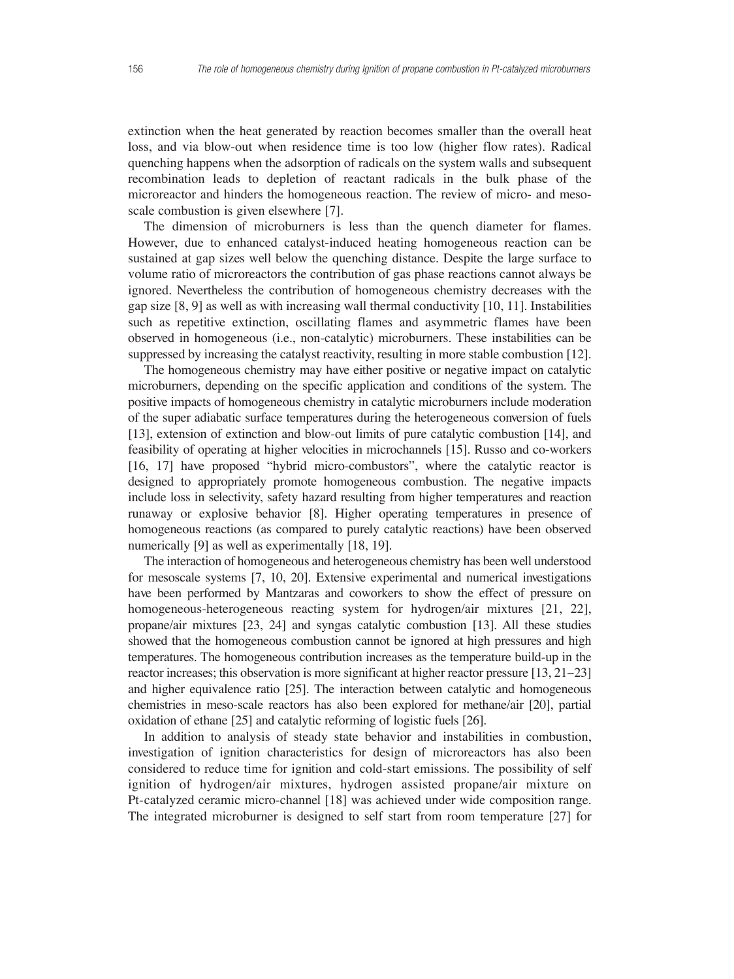extinction when the heat generated by reaction becomes smaller than the overall heat loss, and via blow-out when residence time is too low (higher flow rates). Radical quenching happens when the adsorption of radicals on the system walls and subsequent recombination leads to depletion of reactant radicals in the bulk phase of the microreactor and hinders the homogeneous reaction. The review of micro- and mesoscale combustion is given elsewhere [7].

The dimension of microburners is less than the quench diameter for flames. However, due to enhanced catalyst-induced heating homogeneous reaction can be sustained at gap sizes well below the quenching distance. Despite the large surface to volume ratio of microreactors the contribution of gas phase reactions cannot always be ignored. Nevertheless the contribution of homogeneous chemistry decreases with the gap size  $[8, 9]$  as well as with increasing wall thermal conductivity  $[10, 11]$ . Instabilities such as repetitive extinction, oscillating flames and asymmetric flames have been observed in homogeneous (i.e., non-catalytic) microburners. These instabilities can be suppressed by increasing the catalyst reactivity, resulting in more stable combustion [12].

The homogeneous chemistry may have either positive or negative impact on catalytic microburners, depending on the specific application and conditions of the system. The positive impacts of homogeneous chemistry in catalytic microburners include moderation of the super adiabatic surface temperatures during the heterogeneous conversion of fuels [13], extension of extinction and blow-out limits of pure catalytic combustion [14], and feasibility of operating at higher velocities in microchannels [15]. Russo and co-workers [16, 17] have proposed "hybrid micro-combustors", where the catalytic reactor is designed to appropriately promote homogeneous combustion. The negative impacts include loss in selectivity, safety hazard resulting from higher temperatures and reaction runaway or explosive behavior [8]. Higher operating temperatures in presence of homogeneous reactions (as compared to purely catalytic reactions) have been observed numerically [9] as well as experimentally [18, 19].

The interaction of homogeneous and heterogeneous chemistry has been well understood for mesoscale systems [7, 10, 20]. Extensive experimental and numerical investigations have been performed by Mantzaras and coworkers to show the effect of pressure on homogeneous-heterogeneous reacting system for hydrogen/air mixtures [21, 22], propane/air mixtures [23, 24] and syngas catalytic combustion [13]. All these studies showed that the homogeneous combustion cannot be ignored at high pressures and high temperatures. The homogeneous contribution increases as the temperature build-up in the reactor increases; this observation is more significant at higher reactor pressure [13, 21−23] and higher equivalence ratio [25]. The interaction between catalytic and homogeneous chemistries in meso-scale reactors has also been explored for methane/air [20], partial oxidation of ethane [25] and catalytic reforming of logistic fuels [26].

In addition to analysis of steady state behavior and instabilities in combustion, investigation of ignition characteristics for design of microreactors has also been considered to reduce time for ignition and cold-start emissions. The possibility of self ignition of hydrogen/air mixtures, hydrogen assisted propane/air mixture on Pt-catalyzed ceramic micro-channel [18] was achieved under wide composition range. The integrated microburner is designed to self start from room temperature [27] for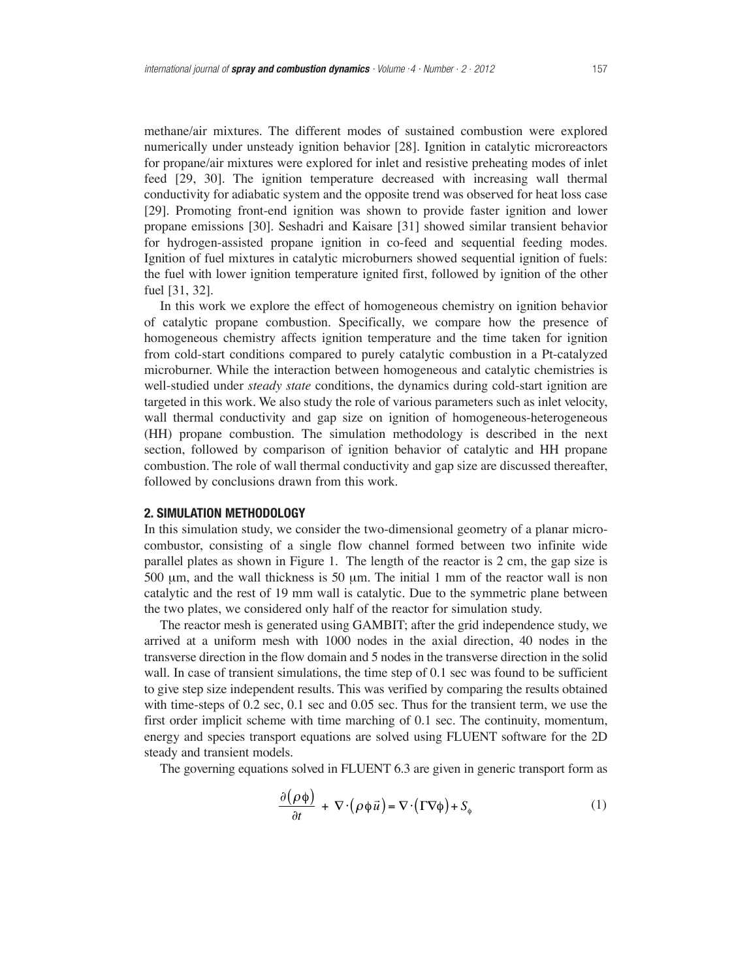methane/air mixtures. The different modes of sustained combustion were explored numerically under unsteady ignition behavior [28]. Ignition in catalytic microreactors for propane/air mixtures were explored for inlet and resistive preheating modes of inlet feed [29, 30]. The ignition temperature decreased with increasing wall thermal conductivity for adiabatic system and the opposite trend was observed for heat loss case [29]. Promoting front-end ignition was shown to provide faster ignition and lower propane emissions [30]. Seshadri and Kaisare [31] showed similar transient behavior for hydrogen-assisted propane ignition in co-feed and sequential feeding modes. Ignition of fuel mixtures in catalytic microburners showed sequential ignition of fuels: the fuel with lower ignition temperature ignited first, followed by ignition of the other fuel [31, 32].

In this work we explore the effect of homogeneous chemistry on ignition behavior of catalytic propane combustion. Specifically, we compare how the presence of homogeneous chemistry affects ignition temperature and the time taken for ignition from cold-start conditions compared to purely catalytic combustion in a Pt-catalyzed microburner. While the interaction between homogeneous and catalytic chemistries is well-studied under *steady state* conditions, the dynamics during cold-start ignition are targeted in this work. We also study the role of various parameters such as inlet velocity, wall thermal conductivity and gap size on ignition of homogeneous-heterogeneous (HH) propane combustion. The simulation methodology is described in the next section, followed by comparison of ignition behavior of catalytic and HH propane combustion. The role of wall thermal conductivity and gap size are discussed thereafter, followed by conclusions drawn from this work.

## **2. SIMULATION METHODOLOGY**

In this simulation study, we consider the two-dimensional geometry of a planar microcombustor, consisting of a single flow channel formed between two infinite wide parallel plates as shown in Figure 1. The length of the reactor is 2 cm, the gap size is 500  $\mu$ m, and the wall thickness is 50  $\mu$ m. The initial 1 mm of the reactor wall is non catalytic and the rest of 19 mm wall is catalytic. Due to the symmetric plane between the two plates, we considered only half of the reactor for simulation study.

The reactor mesh is generated using GAMBIT; after the grid independence study, we arrived at a uniform mesh with 1000 nodes in the axial direction, 40 nodes in the transverse direction in the flow domain and 5 nodes in the transverse direction in the solid wall. In case of transient simulations, the time step of 0.1 sec was found to be sufficient to give step size independent results. This was verified by comparing the results obtained with time-steps of 0.2 sec, 0.1 sec and 0.05 sec. Thus for the transient term, we use the first order implicit scheme with time marching of 0.1 sec. The continuity, momentum, energy and species transport equations are solved using FLUENT software for the 2D steady and transient models.

The governing equations solved in FLUENT 6.3 are given in generic transport form as

$$
\frac{\partial (\rho \phi)}{\partial t} + \nabla \cdot (\rho \phi \vec{u}) = \nabla \cdot (\Gamma \nabla \phi) + S_{\phi}
$$
 (1)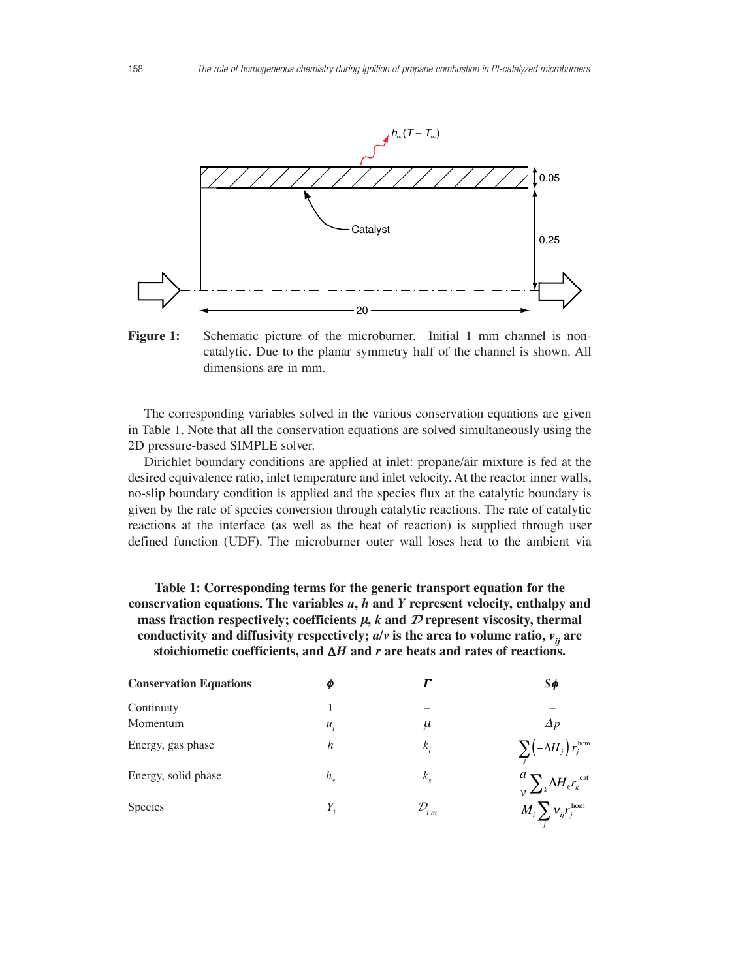

Figure 1: Schematic picture of the microburner. Initial 1 mm channel is noncatalytic. Due to the planar symmetry half of the channel is shown. All dimensions are in mm.

The corresponding variables solved in the various conservation equations are given in Table 1. Note that all the conservation equations are solved simultaneously using the 2D pressure-based SIMPLE solver.

Dirichlet boundary conditions are applied at inlet: propane/air mixture is fed at the desired equivalence ratio, inlet temperature and inlet velocity. At the reactor inner walls, no-slip boundary condition is applied and the species flux at the catalytic boundary is given by the rate of species conversion through catalytic reactions. The rate of catalytic reactions at the interface (as well as the heat of reaction) is supplied through user defined function (UDF). The microburner outer wall loses heat to the ambient via

| Table 1: Corresponding terms for the generic transport equation for the                          |
|--------------------------------------------------------------------------------------------------|
| conservation equations. The variables $u$ , $h$ and $Y$ represent velocity, enthalpy and         |
| mass fraction respectively; coefficients $\mu$ , k and $\mathcal D$ represent viscosity, thermal |
| conductivity and diffusivity respectively; $a/v$ is the area to volume ratio, $v_{ii}$ are       |
| stoichiometic coefficients, and $\Delta H$ and r are heats and rates of reactions.               |
|                                                                                                  |

| <b>Conservation Equations</b> | Φ       |                     | $S\phi$                                                |
|-------------------------------|---------|---------------------|--------------------------------------------------------|
| Continuity                    |         |                     |                                                        |
| Momentum                      | $u_i$   | $\mu$               | $\Delta p$                                             |
| Energy, gas phase             | h       | $k_i$               | $\sum_i \left(-\Delta H_{j}\right) r_{j}^{\text{hom}}$ |
| Energy, solid phase           | $h_{s}$ | $k_{s}$             | $\frac{a}{v}\sum_{k} \Delta H_{k} r_{k}^{\text{cat}}$  |
| Species                       | Υ.      | $\mathcal{D}_{i,m}$ | $M_i \sum v_{ij} r_j^{\text{hom}}$                     |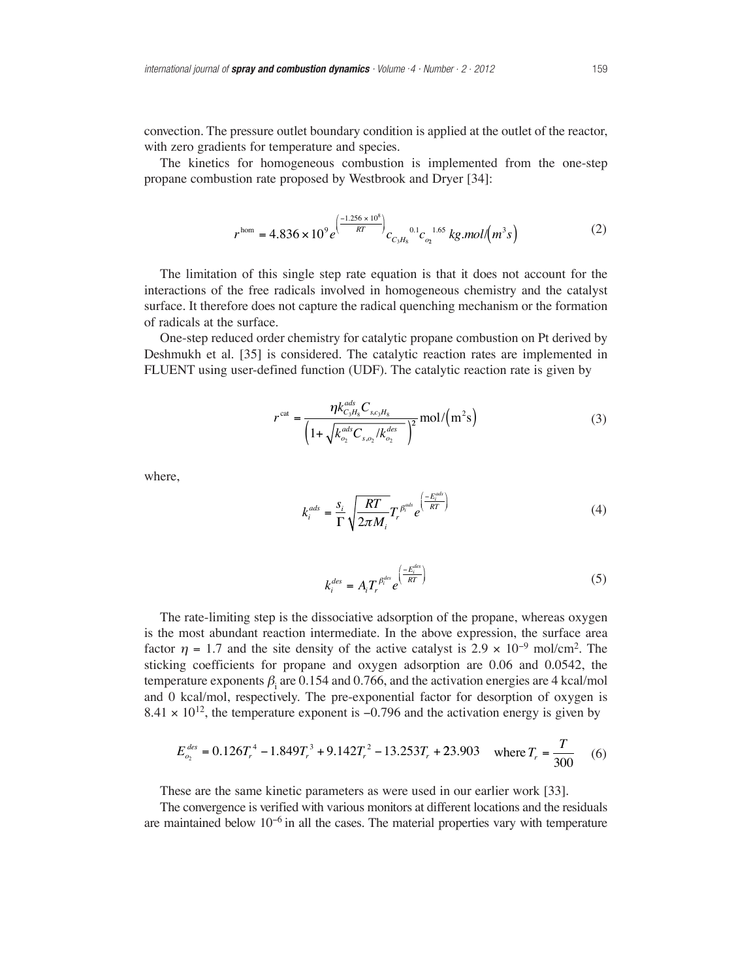convection. The pressure outlet boundary condition is applied at the outlet of the reactor, with zero gradients for temperature and species.

The kinetics for homogeneous combustion is implemented from the one-step propane combustion rate proposed by Westbrook and Dryer [34]:

$$
r^{\text{hom}} = 4.836 \times 10^{9} e^{\left(\frac{-1.256 \times 10^8}{RT}\right)} c_{C_3 H_8} {}^{0.1}C_{Q_2} {}^{1.65} kg.mol/(m^3 s)
$$
 (2)

The limitation of this single step rate equation is that it does not account for the interactions of the free radicals involved in homogeneous chemistry and the catalyst surface. It therefore does not capture the radical quenching mechanism or the formation of radicals at the surface.

One-step reduced order chemistry for catalytic propane combustion on Pt derived by Deshmukh et al. [35] is considered. The catalytic reaction rates are implemented in FLUENT using user-defined function (UDF). The catalytic reaction rate is given by

$$
r^{\text{cat}} = \frac{\eta k_{C_3H_8}^{ads} C_{s,c_3H_8}}{\left(1 + \sqrt{k_{o_2}^{ads} C_{s,o_2} / k_{o_2}^{des}}\right)^2} \text{mol} / \left(m^2 s\right)
$$
 (3)

where,

$$
k_i^{ads} = \frac{s_i}{\Gamma} \sqrt{\frac{RT}{2\pi M_i}} T_r^{\beta_i^{ads}} e^{\left(\frac{-E_i^{ads}}{RT}\right)} \tag{4}
$$

$$
k_i^{des} = A_i T_r^{\beta_i^{des}} e^{\left(\frac{-E_i^{des}}{RT}\right)} \tag{5}
$$

The rate-limiting step is the dissociative adsorption of the propane, whereas oxygen is the most abundant reaction intermediate. In the above expression, the surface area factor  $\eta$  = 1.7 and the site density of the active catalyst is 2.9 × 10<sup>-9</sup> mol/cm<sup>2</sup>. The sticking coefficients for propane and oxygen adsorption are 0.06 and 0.0542, the temperature exponents  $\beta$  are 0.154 and 0.766, and the activation energies are 4 kcal/mol and 0 kcal/mol, respectively. The pre-exponential factor for desorption of oxygen is 8.41  $\times$  10<sup>12</sup>, the temperature exponent is -0.796 and the activation energy is given by

$$
E_{o_2}^{des} = 0.126T_r^4 - 1.849T_r^3 + 9.142T_r^2 - 13.253T_r + 23.903 \quad \text{where } T_r = \frac{T}{300} \tag{6}
$$

These are the same kinetic parameters as were used in our earlier work [33].

The convergence is verified with various monitors at different locations and the residuals are maintained below 10<sup>−</sup>6 in all the cases. The material properties vary with temperature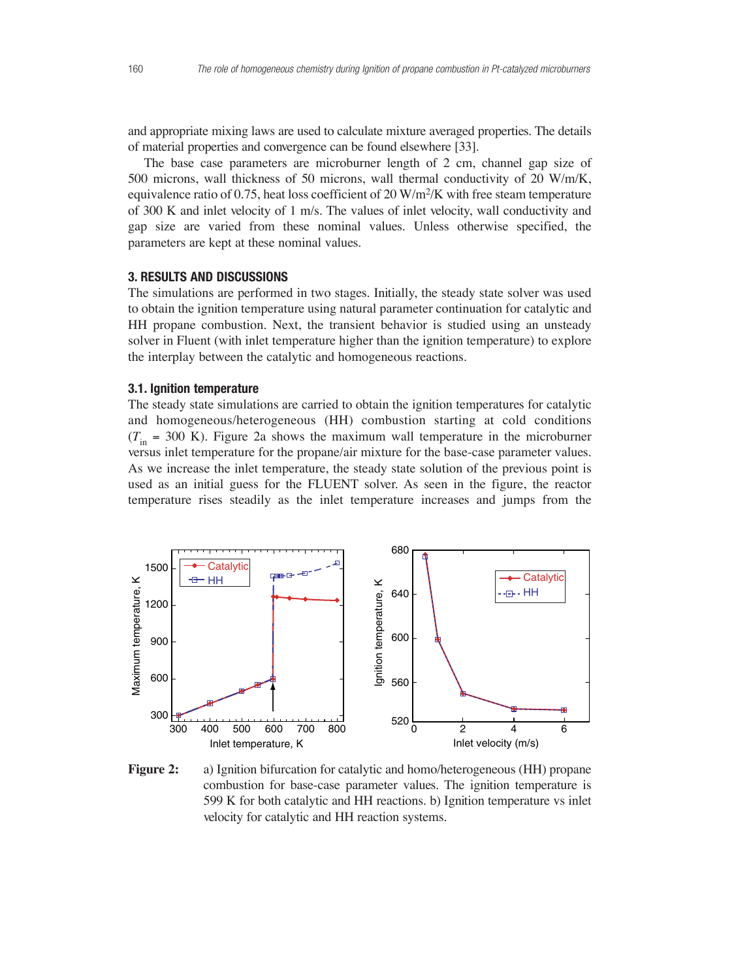and appropriate mixing laws are used to calculate mixture averaged properties. The details of material properties and convergence can be found elsewhere [33].

The base case parameters are microburner length of 2 cm, channel gap size of 500 microns, wall thickness of 50 microns, wall thermal conductivity of 20 W/m/K, equivalence ratio of 0.75, heat loss coefficient of 20  $W/m^2/K$  with free steam temperature of 300 K and inlet velocity of 1 m/s. The values of inlet velocity, wall conductivity and gap size are varied from these nominal values. Unless otherwise specified, the parameters are kept at these nominal values.

# **3. RESULTS AND DISCUSSIONS**

The simulations are performed in two stages. Initially, the steady state solver was used to obtain the ignition temperature using natural parameter continuation for catalytic and HH propane combustion. Next, the transient behavior is studied using an unsteady solver in Fluent (with inlet temperature higher than the ignition temperature) to explore the interplay between the catalytic and homogeneous reactions.

# **3.1. Ignition temperature**

The steady state simulations are carried to obtain the ignition temperatures for catalytic and homogeneous/heterogeneous (HH) combustion starting at cold conditions  $(T_{in} = 300 \text{ K})$ . Figure 2a shows the maximum wall temperature in the microburner versus inlet temperature for the propane/air mixture for the base-case parameter values. As we increase the inlet temperature, the steady state solution of the previous point is used as an initial guess for the FLUENT solver. As seen in the figure, the reactor temperature rises steadily as the inlet temperature increases and jumps from the



**Figure 2:** a) Ignition bifurcation for catalytic and homo/heterogeneous (HH) propane combustion for base-case parameter values. The ignition temperature is 599 K for both catalytic and HH reactions. b) Ignition temperature vs inlet velocity for catalytic and HH reaction systems.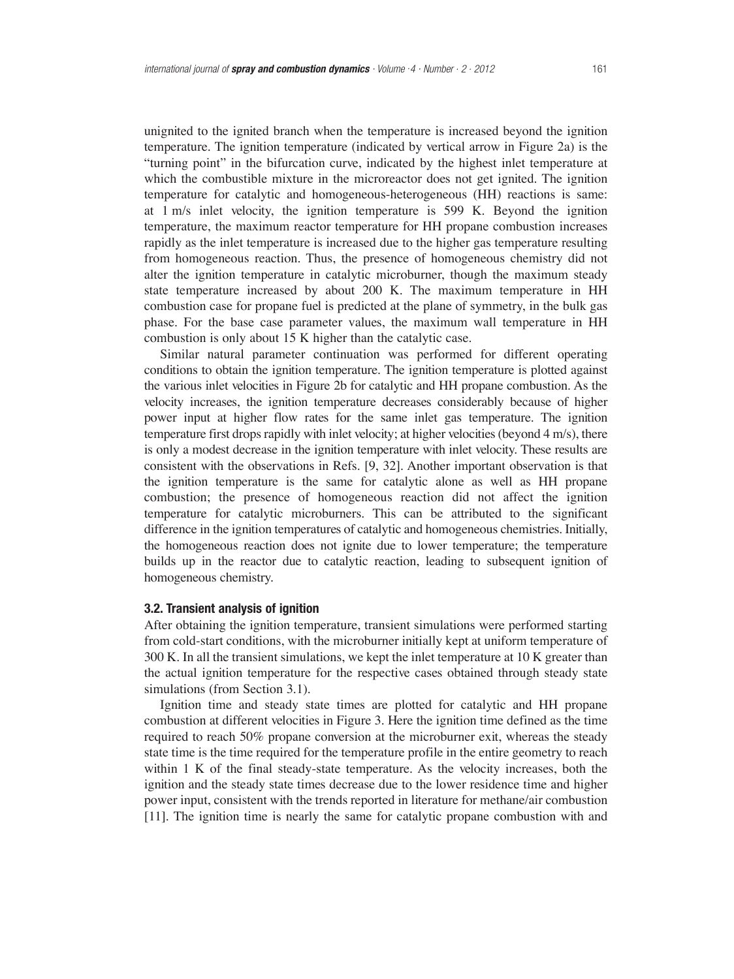unignited to the ignited branch when the temperature is increased beyond the ignition temperature. The ignition temperature (indicated by vertical arrow in Figure 2a) is the "turning point" in the bifurcation curve, indicated by the highest inlet temperature at which the combustible mixture in the microreactor does not get ignited. The ignition temperature for catalytic and homogeneous-heterogeneous (HH) reactions is same: at 1 m/s inlet velocity, the ignition temperature is 599 K. Beyond the ignition temperature, the maximum reactor temperature for HH propane combustion increases rapidly as the inlet temperature is increased due to the higher gas temperature resulting from homogeneous reaction. Thus, the presence of homogeneous chemistry did not alter the ignition temperature in catalytic microburner, though the maximum steady state temperature increased by about 200 K. The maximum temperature in HH combustion case for propane fuel is predicted at the plane of symmetry, in the bulk gas phase. For the base case parameter values, the maximum wall temperature in HH combustion is only about 15 K higher than the catalytic case.

Similar natural parameter continuation was performed for different operating conditions to obtain the ignition temperature. The ignition temperature is plotted against the various inlet velocities in Figure 2b for catalytic and HH propane combustion. As the velocity increases, the ignition temperature decreases considerably because of higher power input at higher flow rates for the same inlet gas temperature. The ignition temperature first drops rapidly with inlet velocity; at higher velocities (beyond 4 m/s), there is only a modest decrease in the ignition temperature with inlet velocity. These results are consistent with the observations in Refs. [9, 32]. Another important observation is that the ignition temperature is the same for catalytic alone as well as HH propane combustion; the presence of homogeneous reaction did not affect the ignition temperature for catalytic microburners. This can be attributed to the significant difference in the ignition temperatures of catalytic and homogeneous chemistries. Initially, the homogeneous reaction does not ignite due to lower temperature; the temperature builds up in the reactor due to catalytic reaction, leading to subsequent ignition of homogeneous chemistry.

#### **3.2. Transient analysis of ignition**

After obtaining the ignition temperature, transient simulations were performed starting from cold-start conditions, with the microburner initially kept at uniform temperature of 300 K. In all the transient simulations, we kept the inlet temperature at 10 K greater than the actual ignition temperature for the respective cases obtained through steady state simulations (from Section 3.1).

Ignition time and steady state times are plotted for catalytic and HH propane combustion at different velocities in Figure 3. Here the ignition time defined as the time required to reach 50% propane conversion at the microburner exit, whereas the steady state time is the time required for the temperature profile in the entire geometry to reach within 1 K of the final steady-state temperature. As the velocity increases, both the ignition and the steady state times decrease due to the lower residence time and higher power input, consistent with the trends reported in literature for methane/air combustion [11]. The ignition time is nearly the same for catalytic propane combustion with and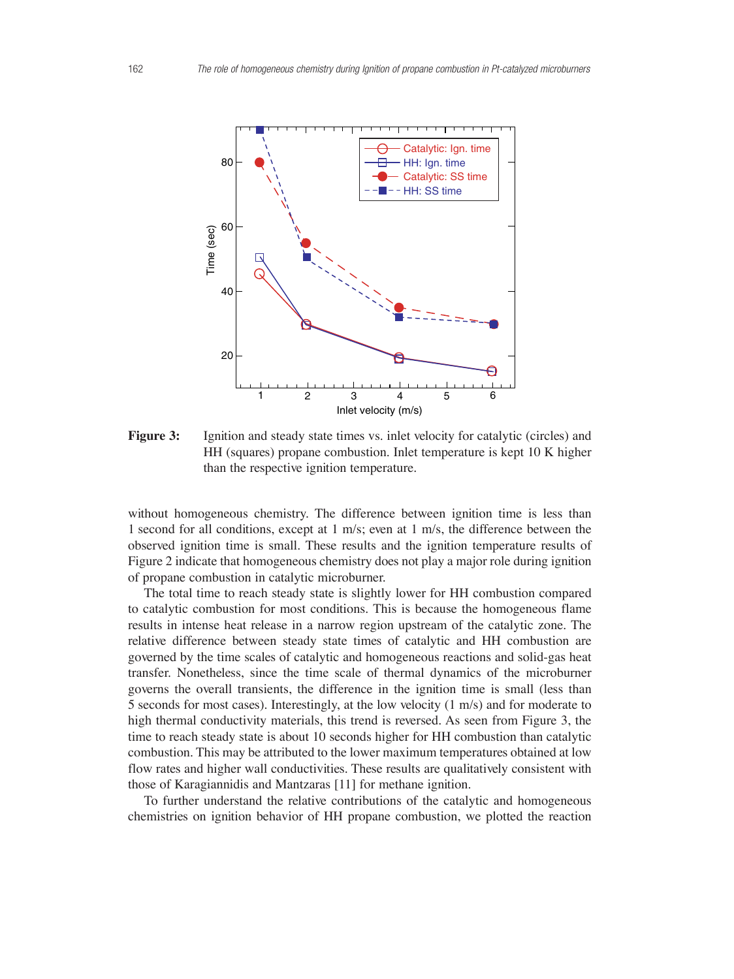

**Figure 3:** Ignition and steady state times vs. inlet velocity for catalytic (circles) and HH (squares) propane combustion. Inlet temperature is kept 10 K higher than the respective ignition temperature.

without homogeneous chemistry. The difference between ignition time is less than 1 second for all conditions, except at 1 m/s; even at 1 m/s, the difference between the observed ignition time is small. These results and the ignition temperature results of Figure 2 indicate that homogeneous chemistry does not play a major role during ignition of propane combustion in catalytic microburner.

The total time to reach steady state is slightly lower for HH combustion compared to catalytic combustion for most conditions. This is because the homogeneous flame results in intense heat release in a narrow region upstream of the catalytic zone. The relative difference between steady state times of catalytic and HH combustion are governed by the time scales of catalytic and homogeneous reactions and solid-gas heat transfer. Nonetheless, since the time scale of thermal dynamics of the microburner governs the overall transients, the difference in the ignition time is small (less than 5 seconds for most cases). Interestingly, at the low velocity (1 m/s) and for moderate to high thermal conductivity materials, this trend is reversed. As seen from Figure 3, the time to reach steady state is about 10 seconds higher for HH combustion than catalytic combustion. This may be attributed to the lower maximum temperatures obtained at low flow rates and higher wall conductivities. These results are qualitatively consistent with those of Karagiannidis and Mantzaras [11] for methane ignition.

To further understand the relative contributions of the catalytic and homogeneous chemistries on ignition behavior of HH propane combustion, we plotted the reaction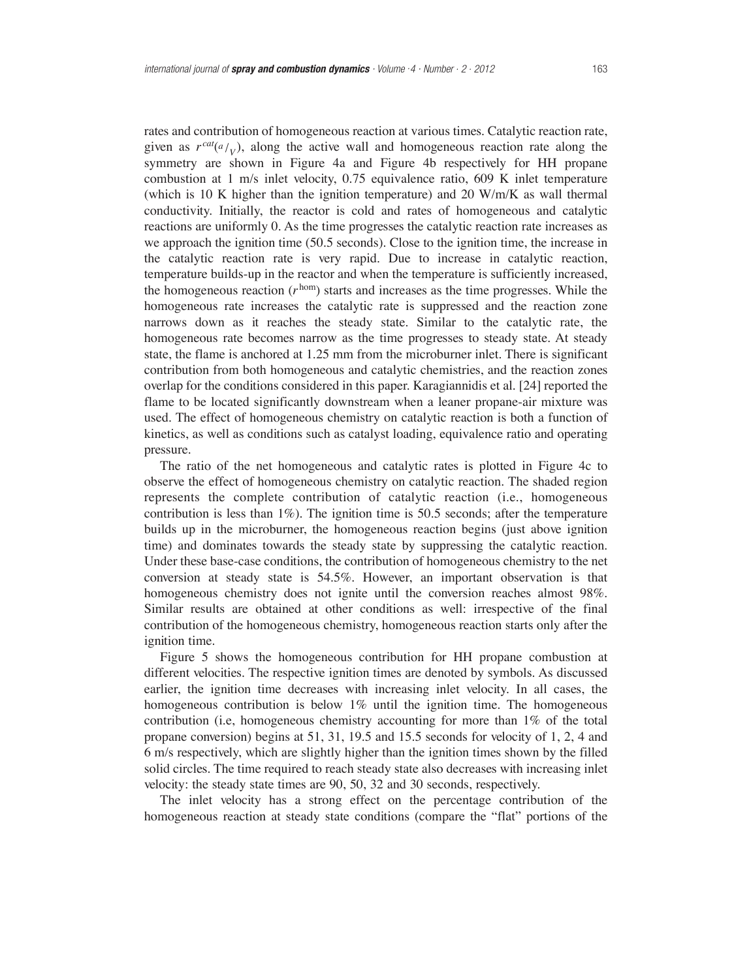rates and contribution of homogeneous reaction at various times. Catalytic reaction rate, given as  $r^{cat}(a/\nu)$ , along the active wall and homogeneous reaction rate along the symmetry are shown in Figure 4a and Figure 4b respectively for HH propane combustion at 1 m/s inlet velocity, 0.75 equivalence ratio, 609 K inlet temperature (which is 10 K higher than the ignition temperature) and 20 W/m/K as wall thermal conductivity. Initially, the reactor is cold and rates of homogeneous and catalytic reactions are uniformly 0. As the time progresses the catalytic reaction rate increases as we approach the ignition time (50.5 seconds). Close to the ignition time, the increase in the catalytic reaction rate is very rapid. Due to increase in catalytic reaction, temperature builds-up in the reactor and when the temperature is sufficiently increased, the homogeneous reaction  $(r^{hom})$  starts and increases as the time progresses. While the homogeneous rate increases the catalytic rate is suppressed and the reaction zone narrows down as it reaches the steady state. Similar to the catalytic rate, the homogeneous rate becomes narrow as the time progresses to steady state. At steady state, the flame is anchored at 1.25 mm from the microburner inlet. There is significant contribution from both homogeneous and catalytic chemistries, and the reaction zones overlap for the conditions considered in this paper. Karagiannidis et al. [24] reported the flame to be located significantly downstream when a leaner propane-air mixture was used. The effect of homogeneous chemistry on catalytic reaction is both a function of kinetics, as well as conditions such as catalyst loading, equivalence ratio and operating pressure.

The ratio of the net homogeneous and catalytic rates is plotted in Figure 4c to observe the effect of homogeneous chemistry on catalytic reaction. The shaded region represents the complete contribution of catalytic reaction (i.e., homogeneous contribution is less than  $1\%$ ). The ignition time is 50.5 seconds; after the temperature builds up in the microburner, the homogeneous reaction begins (just above ignition time) and dominates towards the steady state by suppressing the catalytic reaction. Under these base-case conditions, the contribution of homogeneous chemistry to the net conversion at steady state is 54.5%. However, an important observation is that homogeneous chemistry does not ignite until the conversion reaches almost 98%. Similar results are obtained at other conditions as well: irrespective of the final contribution of the homogeneous chemistry, homogeneous reaction starts only after the ignition time.

Figure 5 shows the homogeneous contribution for HH propane combustion at different velocities. The respective ignition times are denoted by symbols. As discussed earlier, the ignition time decreases with increasing inlet velocity. In all cases, the homogeneous contribution is below 1% until the ignition time. The homogeneous contribution (i.e, homogeneous chemistry accounting for more than 1% of the total propane conversion) begins at 51, 31, 19.5 and 15.5 seconds for velocity of 1, 2, 4 and 6 m/s respectively, which are slightly higher than the ignition times shown by the filled solid circles. The time required to reach steady state also decreases with increasing inlet velocity: the steady state times are 90, 50, 32 and 30 seconds, respectively.

The inlet velocity has a strong effect on the percentage contribution of the homogeneous reaction at steady state conditions (compare the "flat" portions of the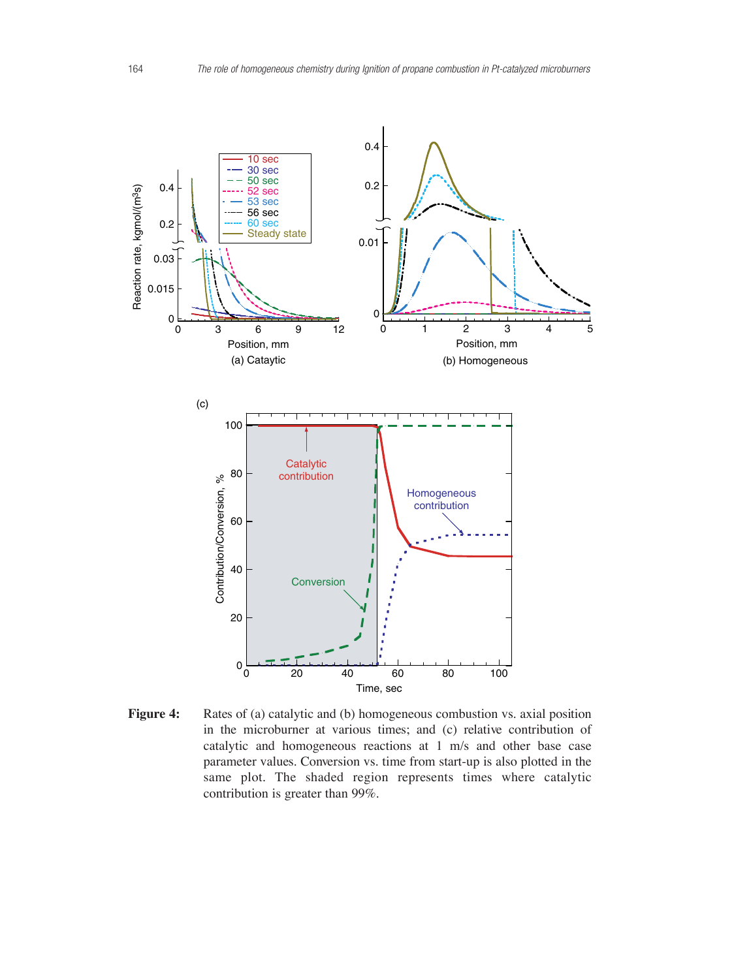

**Figure 4:** Rates of (a) catalytic and (b) homogeneous combustion vs. axial position in the microburner at various times; and (c) relative contribution of catalytic and homogeneous reactions at 1 m/s and other base case parameter values. Conversion vs. time from start-up is also plotted in the same plot. The shaded region represents times where catalytic contribution is greater than 99%.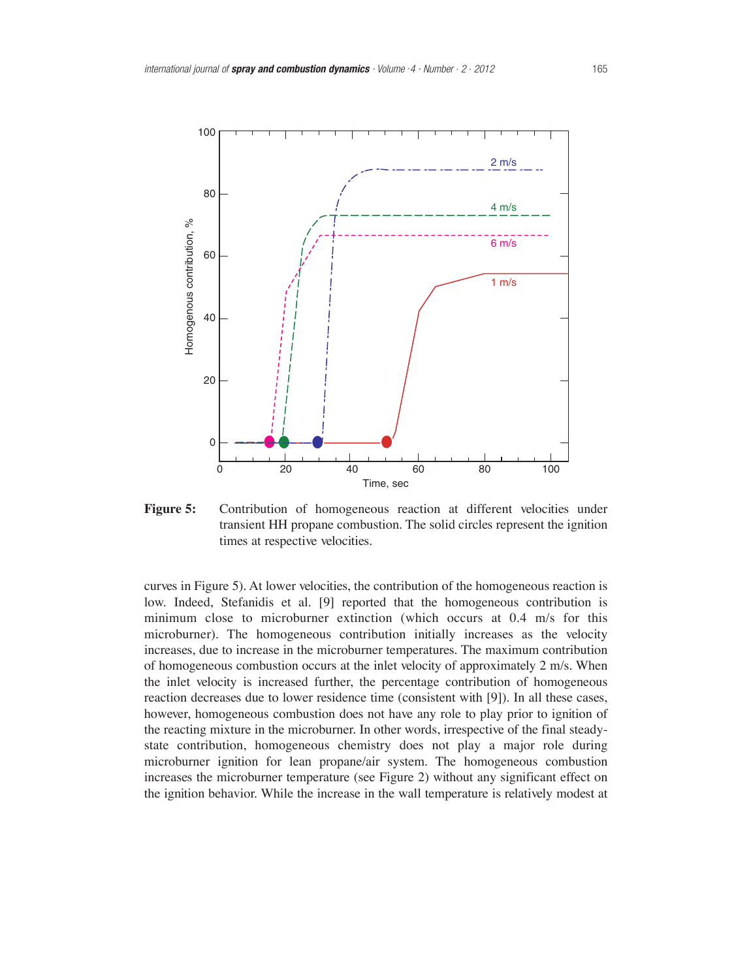

**Figure 5:** Contribution of homogeneous reaction at different velocities under transient HH propane combustion. The solid circles represent the ignition times at respective velocities.

curves in Figure 5). At lower velocities, the contribution of the homogeneous reaction is low. Indeed, Stefanidis et al. [9] reported that the homogeneous contribution is minimum close to microburner extinction (which occurs at 0.4 m/s for this microburner). The homogeneous contribution initially increases as the velocity increases, due to increase in the microburner temperatures. The maximum contribution of homogeneous combustion occurs at the inlet velocity of approximately 2 m/s. When the inlet velocity is increased further, the percentage contribution of homogeneous reaction decreases due to lower residence time (consistent with [9]). In all these cases, however, homogeneous combustion does not have any role to play prior to ignition of the reacting mixture in the microburner. In other words, irrespective of the final steadystate contribution, homogeneous chemistry does not play a major role during microburner ignition for lean propane/air system. The homogeneous combustion increases the microburner temperature (see Figure 2) without any significant effect on the ignition behavior. While the increase in the wall temperature is relatively modest at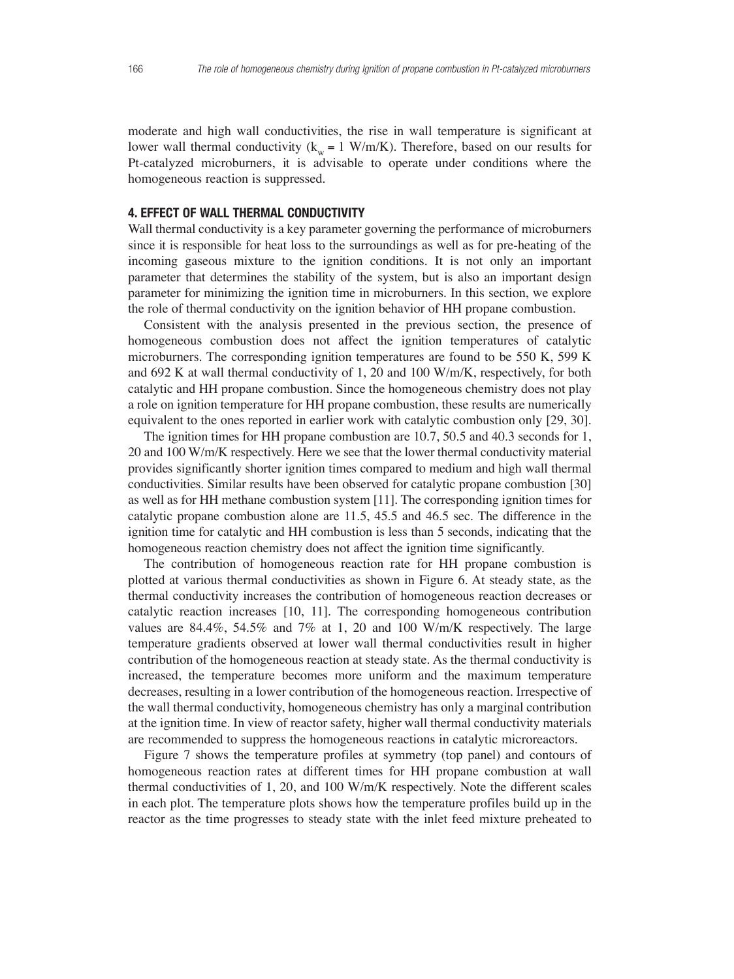moderate and high wall conductivities, the rise in wall temperature is significant at lower wall thermal conductivity ( $k_w = 1$  W/m/K). Therefore, based on our results for Pt-catalyzed microburners, it is advisable to operate under conditions where the homogeneous reaction is suppressed.

## **4. EFFECT OF WALL THERMAL CONDUCTIVITY**

Wall thermal conductivity is a key parameter governing the performance of microburners since it is responsible for heat loss to the surroundings as well as for pre-heating of the incoming gaseous mixture to the ignition conditions. It is not only an important parameter that determines the stability of the system, but is also an important design parameter for minimizing the ignition time in microburners. In this section, we explore the role of thermal conductivity on the ignition behavior of HH propane combustion.

Consistent with the analysis presented in the previous section, the presence of homogeneous combustion does not affect the ignition temperatures of catalytic microburners. The corresponding ignition temperatures are found to be 550 K, 599 K and 692 K at wall thermal conductivity of 1, 20 and 100 W/m/K, respectively, for both catalytic and HH propane combustion. Since the homogeneous chemistry does not play a role on ignition temperature for HH propane combustion, these results are numerically equivalent to the ones reported in earlier work with catalytic combustion only [29, 30].

The ignition times for HH propane combustion are 10.7, 50.5 and 40.3 seconds for 1, 20 and 100 W/m/K respectively. Here we see that the lower thermal conductivity material provides significantly shorter ignition times compared to medium and high wall thermal conductivities. Similar results have been observed for catalytic propane combustion [30] as well as for HH methane combustion system [11]. The corresponding ignition times for catalytic propane combustion alone are 11.5, 45.5 and 46.5 sec. The difference in the ignition time for catalytic and HH combustion is less than 5 seconds, indicating that the homogeneous reaction chemistry does not affect the ignition time significantly.

The contribution of homogeneous reaction rate for HH propane combustion is plotted at various thermal conductivities as shown in Figure 6. At steady state, as the thermal conductivity increases the contribution of homogeneous reaction decreases or catalytic reaction increases [10, 11]. The corresponding homogeneous contribution values are 84.4%, 54.5% and 7% at 1, 20 and 100 W/m/K respectively. The large temperature gradients observed at lower wall thermal conductivities result in higher contribution of the homogeneous reaction at steady state. As the thermal conductivity is increased, the temperature becomes more uniform and the maximum temperature decreases, resulting in a lower contribution of the homogeneous reaction. Irrespective of the wall thermal conductivity, homogeneous chemistry has only a marginal contribution at the ignition time. In view of reactor safety, higher wall thermal conductivity materials are recommended to suppress the homogeneous reactions in catalytic microreactors.

Figure 7 shows the temperature profiles at symmetry (top panel) and contours of homogeneous reaction rates at different times for HH propane combustion at wall thermal conductivities of 1, 20, and 100 W/m/K respectively. Note the different scales in each plot. The temperature plots shows how the temperature profiles build up in the reactor as the time progresses to steady state with the inlet feed mixture preheated to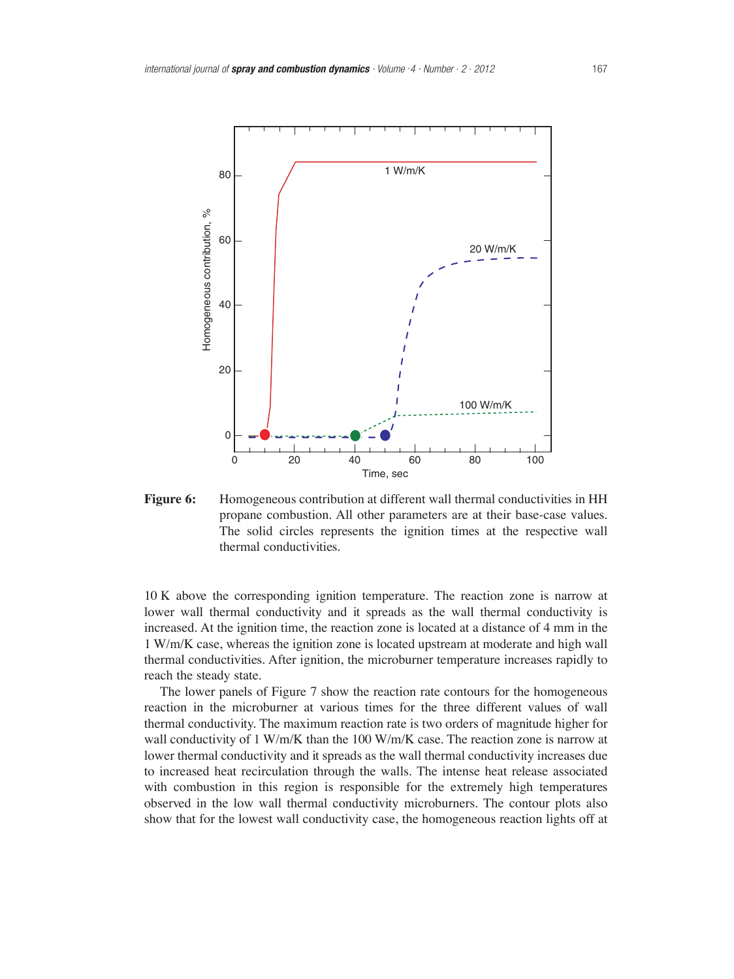

**Figure 6:** Homogeneous contribution at different wall thermal conductivities in HH propane combustion. All other parameters are at their base-case values. The solid circles represents the ignition times at the respective wall thermal conductivities.

10 K above the corresponding ignition temperature. The reaction zone is narrow at lower wall thermal conductivity and it spreads as the wall thermal conductivity is increased. At the ignition time, the reaction zone is located at a distance of 4 mm in the 1 W/m/K case, whereas the ignition zone is located upstream at moderate and high wall thermal conductivities. After ignition, the microburner temperature increases rapidly to reach the steady state.

The lower panels of Figure 7 show the reaction rate contours for the homogeneous reaction in the microburner at various times for the three different values of wall thermal conductivity. The maximum reaction rate is two orders of magnitude higher for wall conductivity of  $1 \text{ W/m/K}$  than the 100 W/m/K case. The reaction zone is narrow at lower thermal conductivity and it spreads as the wall thermal conductivity increases due to increased heat recirculation through the walls. The intense heat release associated with combustion in this region is responsible for the extremely high temperatures observed in the low wall thermal conductivity microburners. The contour plots also show that for the lowest wall conductivity case, the homogeneous reaction lights off at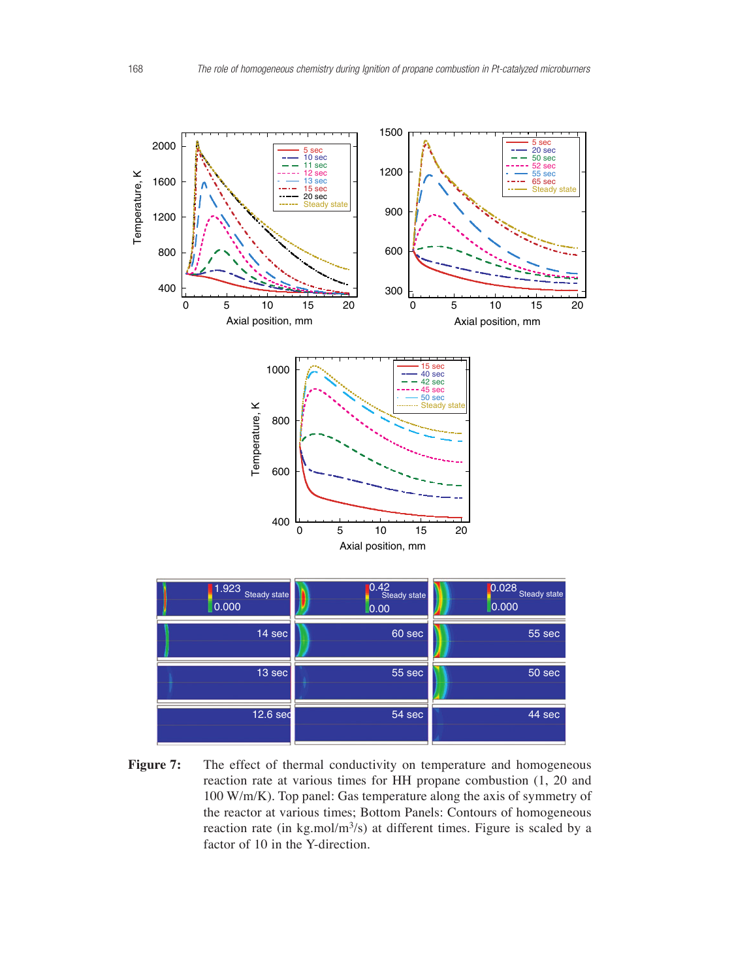

Figure 7: The effect of thermal conductivity on temperature and homogeneous reaction rate at various times for HH propane combustion (1, 20 and 100 W/m/K). Top panel: Gas temperature along the axis of symmetry of the reactor at various times; Bottom Panels: Contours of homogeneous reaction rate (in kg.mol/ $m<sup>3</sup>/s$ ) at different times. Figure is scaled by a factor of 10 in the Y-direction.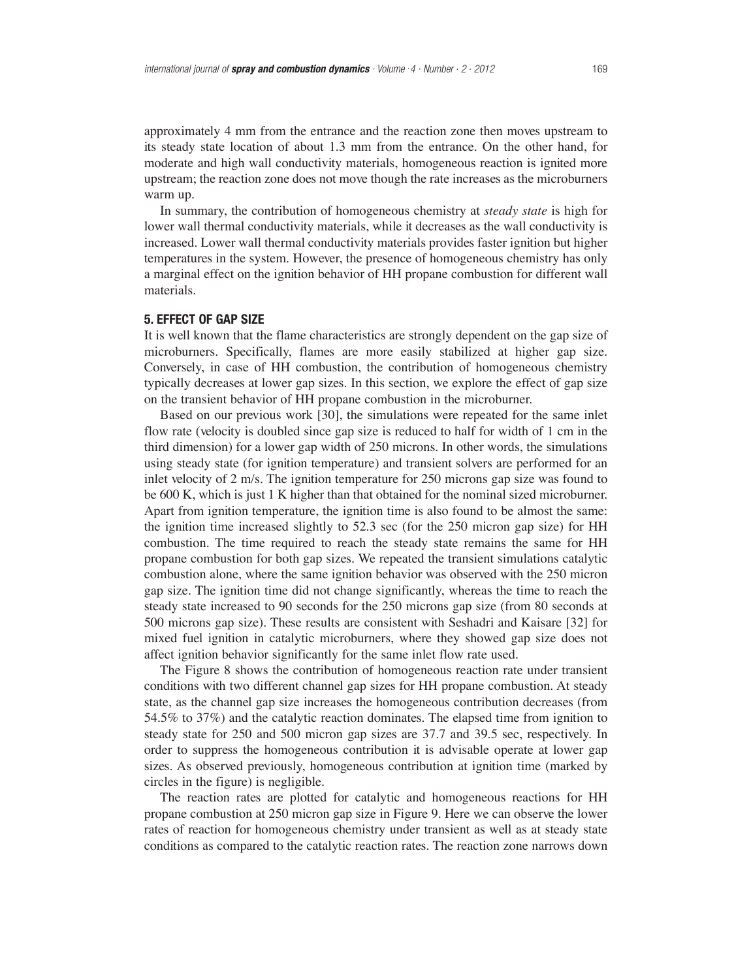approximately 4 mm from the entrance and the reaction zone then moves upstream to its steady state location of about 1.3 mm from the entrance. On the other hand, for moderate and high wall conductivity materials, homogeneous reaction is ignited more upstream; the reaction zone does not move though the rate increases as the microburners warm up.

In summary, the contribution of homogeneous chemistry at *steady state* is high for lower wall thermal conductivity materials, while it decreases as the wall conductivity is increased. Lower wall thermal conductivity materials provides faster ignition but higher temperatures in the system. However, the presence of homogeneous chemistry has only a marginal effect on the ignition behavior of HH propane combustion for different wall materials.

## **5. EFFECT OF GAP SIZE**

It is well known that the flame characteristics are strongly dependent on the gap size of microburners. Specifically, flames are more easily stabilized at higher gap size. Conversely, in case of HH combustion, the contribution of homogeneous chemistry typically decreases at lower gap sizes. In this section, we explore the effect of gap size on the transient behavior of HH propane combustion in the microburner.

Based on our previous work [30], the simulations were repeated for the same inlet flow rate (velocity is doubled since gap size is reduced to half for width of 1 cm in the third dimension) for a lower gap width of 250 microns. In other words, the simulations using steady state (for ignition temperature) and transient solvers are performed for an inlet velocity of 2 m/s. The ignition temperature for 250 microns gap size was found to be 600 K, which is just 1 K higher than that obtained for the nominal sized microburner. Apart from ignition temperature, the ignition time is also found to be almost the same: the ignition time increased slightly to 52.3 sec (for the 250 micron gap size) for HH combustion. The time required to reach the steady state remains the same for HH propane combustion for both gap sizes. We repeated the transient simulations catalytic combustion alone, where the same ignition behavior was observed with the 250 micron gap size. The ignition time did not change significantly, whereas the time to reach the steady state increased to 90 seconds for the 250 microns gap size (from 80 seconds at 500 microns gap size). These results are consistent with Seshadri and Kaisare [32] for mixed fuel ignition in catalytic microburners, where they showed gap size does not affect ignition behavior significantly for the same inlet flow rate used.

The Figure 8 shows the contribution of homogeneous reaction rate under transient conditions with two different channel gap sizes for HH propane combustion. At steady state, as the channel gap size increases the homogeneous contribution decreases (from 54.5% to 37%) and the catalytic reaction dominates. The elapsed time from ignition to steady state for 250 and 500 micron gap sizes are 37.7 and 39.5 sec, respectively. In order to suppress the homogeneous contribution it is advisable operate at lower gap sizes. As observed previously, homogeneous contribution at ignition time (marked by circles in the figure) is negligible.

The reaction rates are plotted for catalytic and homogeneous reactions for HH propane combustion at 250 micron gap size in Figure 9. Here we can observe the lower rates of reaction for homogeneous chemistry under transient as well as at steady state conditions as compared to the catalytic reaction rates. The reaction zone narrows down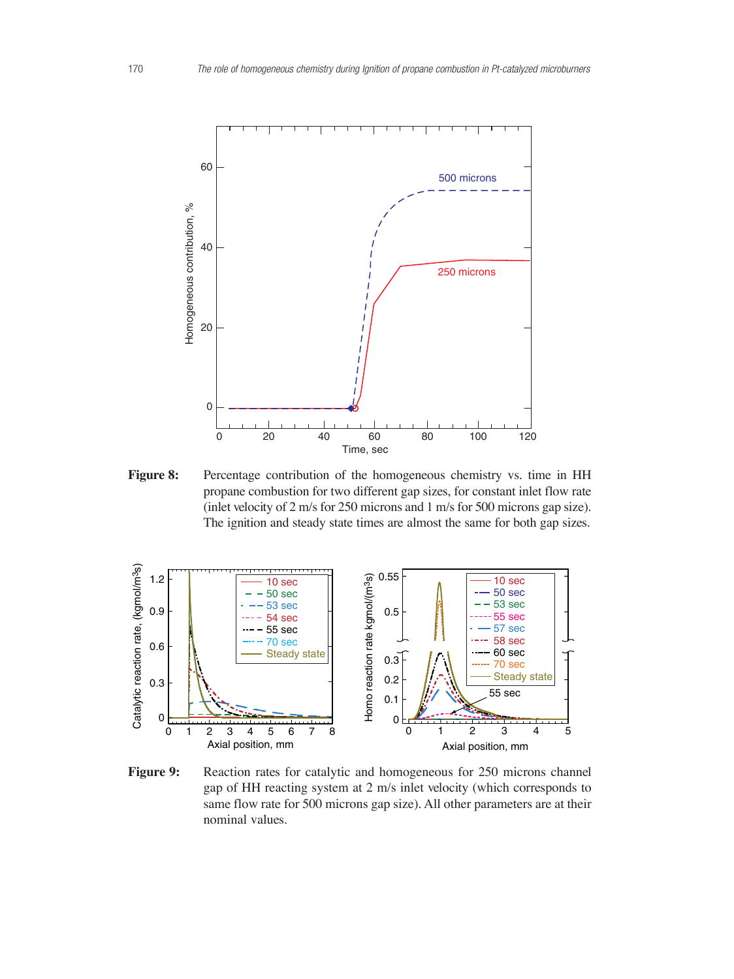

**Figure 8:** Percentage contribution of the homogeneous chemistry vs. time in HH propane combustion for two different gap sizes, for constant inlet flow rate (inlet velocity of 2 m/s for 250 microns and 1 m/s for 500 microns gap size). The ignition and steady state times are almost the same for both gap sizes.



Figure 9: Reaction rates for catalytic and homogeneous for 250 microns channel gap of HH reacting system at 2 m/s inlet velocity (which corresponds to same flow rate for 500 microns gap size). All other parameters are at their nominal values.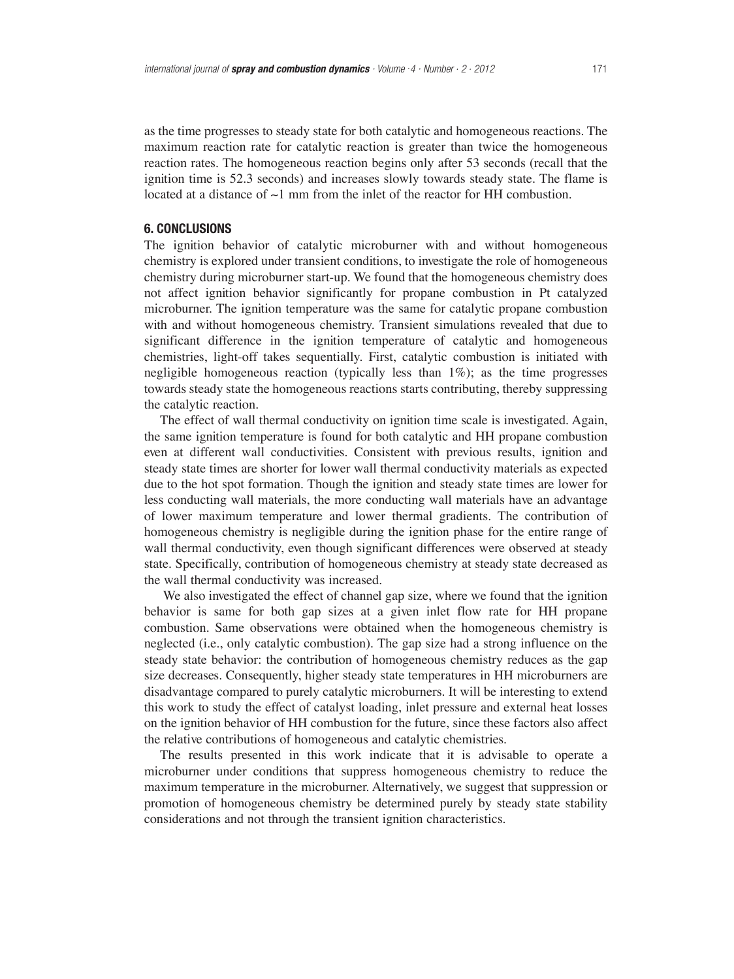as the time progresses to steady state for both catalytic and homogeneous reactions. The maximum reaction rate for catalytic reaction is greater than twice the homogeneous reaction rates. The homogeneous reaction begins only after 53 seconds (recall that the ignition time is 52.3 seconds) and increases slowly towards steady state. The flame is located at a distance of ∼1 mm from the inlet of the reactor for HH combustion.

# **6. CONCLUSIONS**

The ignition behavior of catalytic microburner with and without homogeneous chemistry is explored under transient conditions, to investigate the role of homogeneous chemistry during microburner start-up. We found that the homogeneous chemistry does not affect ignition behavior significantly for propane combustion in Pt catalyzed microburner. The ignition temperature was the same for catalytic propane combustion with and without homogeneous chemistry. Transient simulations revealed that due to significant difference in the ignition temperature of catalytic and homogeneous chemistries, light-off takes sequentially. First, catalytic combustion is initiated with negligible homogeneous reaction (typically less than  $1\%$ ); as the time progresses towards steady state the homogeneous reactions starts contributing, thereby suppressing the catalytic reaction.

The effect of wall thermal conductivity on ignition time scale is investigated. Again, the same ignition temperature is found for both catalytic and HH propane combustion even at different wall conductivities. Consistent with previous results, ignition and steady state times are shorter for lower wall thermal conductivity materials as expected due to the hot spot formation. Though the ignition and steady state times are lower for less conducting wall materials, the more conducting wall materials have an advantage of lower maximum temperature and lower thermal gradients. The contribution of homogeneous chemistry is negligible during the ignition phase for the entire range of wall thermal conductivity, even though significant differences were observed at steady state. Specifically, contribution of homogeneous chemistry at steady state decreased as the wall thermal conductivity was increased.

We also investigated the effect of channel gap size, where we found that the ignition behavior is same for both gap sizes at a given inlet flow rate for HH propane combustion. Same observations were obtained when the homogeneous chemistry is neglected (i.e., only catalytic combustion). The gap size had a strong influence on the steady state behavior: the contribution of homogeneous chemistry reduces as the gap size decreases. Consequently, higher steady state temperatures in HH microburners are disadvantage compared to purely catalytic microburners. It will be interesting to extend this work to study the effect of catalyst loading, inlet pressure and external heat losses on the ignition behavior of HH combustion for the future, since these factors also affect the relative contributions of homogeneous and catalytic chemistries.

The results presented in this work indicate that it is advisable to operate a microburner under conditions that suppress homogeneous chemistry to reduce the maximum temperature in the microburner. Alternatively, we suggest that suppression or promotion of homogeneous chemistry be determined purely by steady state stability considerations and not through the transient ignition characteristics.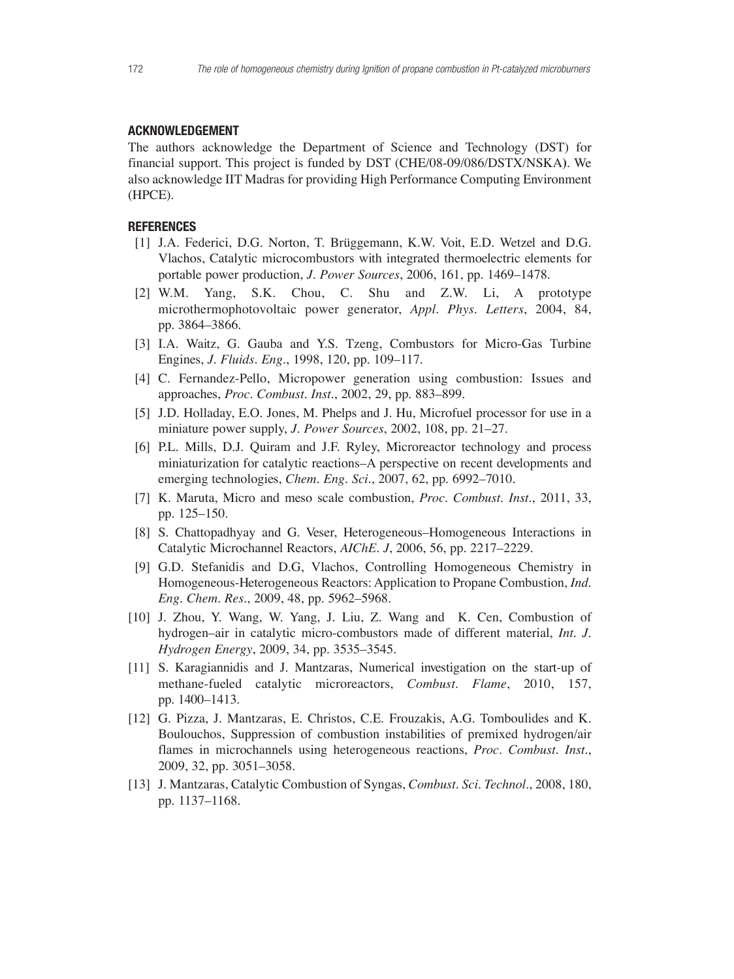## **ACKNOWLEDGEMENT**

The authors acknowledge the Department of Science and Technology (DST) for financial support. This project is funded by DST (CHE/08-09/086/DSTX/NSKA**)**. We also acknowledge IIT Madras for providing High Performance Computing Environment (HPCE).

# **REFERENCES**

- [1] J.A. Federici, D.G. Norton, T. Brüggemann, K.W. Voit, E.D. Wetzel and D.G. Vlachos, Catalytic microcombustors with integrated thermoelectric elements for portable power production, *J. Power Sources*, 2006, 161, pp. 1469–1478.
- [2] W.M. Yang, S.K. Chou, C. Shu and Z.W. Li, A prototype microthermophotovoltaic power generator, *Appl. Phys. Letters*, 2004, 84, pp. 3864–3866.
- [3] I.A. Waitz, G. Gauba and Y.S. Tzeng, Combustors for Micro-Gas Turbine Engines, *J. Fluids. Eng.*, 1998, 120, pp. 109–117.
- [4] C. Fernandez-Pello, Micropower generation using combustion: Issues and approaches, *Proc. Combust. Inst.*, 2002, 29, pp. 883–899.
- [5] J.D. Holladay, E.O. Jones, M. Phelps and J. Hu, Microfuel processor for use in a miniature power supply, *J. Power Sources*, 2002, 108, pp. 21–27.
- [6] P.L. Mills, D.J. Quiram and J.F. Ryley, Microreactor technology and process miniaturization for catalytic reactions–A perspective on recent developments and emerging technologies, *Chem. Eng. Sci.*, 2007, 62, pp. 6992–7010.
- [7] K. Maruta, Micro and meso scale combustion, *Proc. Combust. Inst.*, 2011, 33, pp. 125–150.
- [8] S. Chattopadhyay and G. Veser, Heterogeneous–Homogeneous Interactions in Catalytic Microchannel Reactors, *AIChE. J*, 2006, 56, pp. 2217–2229.
- [9] G.D. Stefanidis and D.G, Vlachos, Controlling Homogeneous Chemistry in Homogeneous-Heterogeneous Reactors: Application to Propane Combustion, *Ind. Eng. Chem. Res.*, 2009, 48, pp. 5962–5968.
- [10] J. Zhou, Y. Wang, W. Yang, J. Liu, Z. Wang and K. Cen, Combustion of hydrogen–air in catalytic micro-combustors made of different material, *Int. J. Hydrogen Energy*, 2009, 34, pp. 3535–3545.
- [11] S. Karagiannidis and J. Mantzaras, Numerical investigation on the start-up of methane-fueled catalytic microreactors, *Combust. Flame*, 2010, 157, pp. 1400–1413.
- [12] G. Pizza, J. Mantzaras, E. Christos, C.E. Frouzakis, A.G. Tomboulides and K. Boulouchos, Suppression of combustion instabilities of premixed hydrogen/air flames in microchannels using heterogeneous reactions, *Proc. Combust. Inst.*, 2009, 32, pp. 3051–3058.
- [13] J. Mantzaras, Catalytic Combustion of Syngas, *Combust. Sci. Technol.*, 2008, 180, pp. 1137–1168.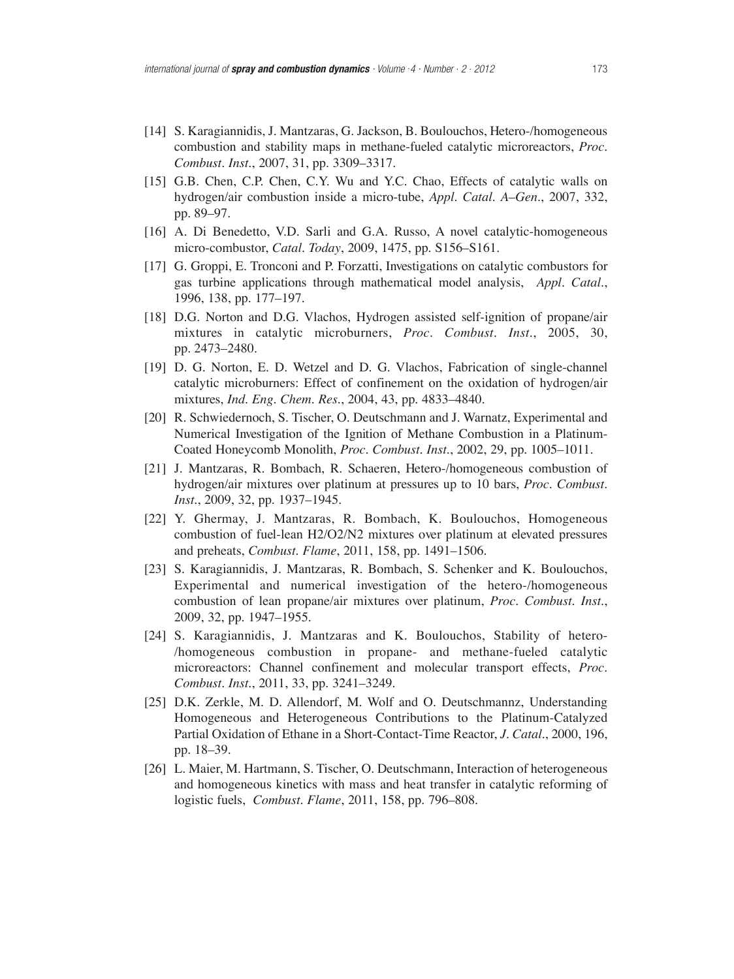- [14] S. Karagiannidis, J. Mantzaras, G. Jackson, B. Boulouchos, Hetero-/homogeneous combustion and stability maps in methane-fueled catalytic microreactors, *Proc. Combust. Inst.*, 2007, 31, pp. 3309–3317.
- [15] G.B. Chen, C.P. Chen, C.Y. Wu and Y.C. Chao, Effects of catalytic walls on hydrogen/air combustion inside a micro-tube, *Appl. Catal. A–Gen.*, 2007, 332, pp. 89–97.
- [16] A. Di Benedetto, V.D. Sarli and G.A. Russo, A novel catalytic-homogeneous micro-combustor, *Catal. Today*, 2009, 1475, pp. S156–S161.
- [17] G. Groppi, E. Tronconi and P. Forzatti, Investigations on catalytic combustors for gas turbine applications through mathematical model analysis, *Appl. Catal.*, 1996, 138, pp. 177–197.
- [18] D.G. Norton and D.G. Vlachos, Hydrogen assisted self-ignition of propane/air mixtures in catalytic microburners, *Proc. Combust. Inst.*, 2005, 30, pp. 2473–2480.
- [19] D. G. Norton, E. D. Wetzel and D. G. Vlachos, Fabrication of single-channel catalytic microburners: Effect of confinement on the oxidation of hydrogen/air mixtures, *Ind. Eng. Chem. Res.*, 2004, 43, pp. 4833–4840.
- [20] R. Schwiedernoch, S. Tischer, O. Deutschmann and J. Warnatz, Experimental and Numerical Investigation of the Ignition of Methane Combustion in a Platinum-Coated Honeycomb Monolith, *Proc. Combust. Inst.*, 2002, 29, pp. 1005–1011.
- [21] J. Mantzaras, R. Bombach, R. Schaeren, Hetero-/homogeneous combustion of hydrogen/air mixtures over platinum at pressures up to 10 bars, *Proc. Combust. Inst.*, 2009, 32, pp. 1937–1945.
- [22] Y. Ghermay, J. Mantzaras, R. Bombach, K. Boulouchos, Homogeneous combustion of fuel-lean H2/O2/N2 mixtures over platinum at elevated pressures and preheats, *Combust. Flame*, 2011, 158, pp. 1491–1506.
- [23] S. Karagiannidis, J. Mantzaras, R. Bombach, S. Schenker and K. Boulouchos, Experimental and numerical investigation of the hetero-/homogeneous combustion of lean propane/air mixtures over platinum, *Proc. Combust. Inst.*, 2009, 32, pp. 1947–1955.
- [24] S. Karagiannidis, J. Mantzaras and K. Boulouchos, Stability of hetero- /homogeneous combustion in propane- and methane-fueled catalytic microreactors: Channel confinement and molecular transport effects, *Proc. Combust. Inst.*, 2011, 33, pp. 3241–3249.
- [25] D.K. Zerkle, M. D. Allendorf, M. Wolf and O. Deutschmannz, Understanding Homogeneous and Heterogeneous Contributions to the Platinum-Catalyzed Partial Oxidation of Ethane in a Short-Contact-Time Reactor, *J. Catal.*, 2000, 196, pp. 18–39.
- [26] L. Maier, M. Hartmann, S. Tischer, O. Deutschmann, Interaction of heterogeneous and homogeneous kinetics with mass and heat transfer in catalytic reforming of logistic fuels, *Combust. Flame*, 2011, 158, pp. 796–808.